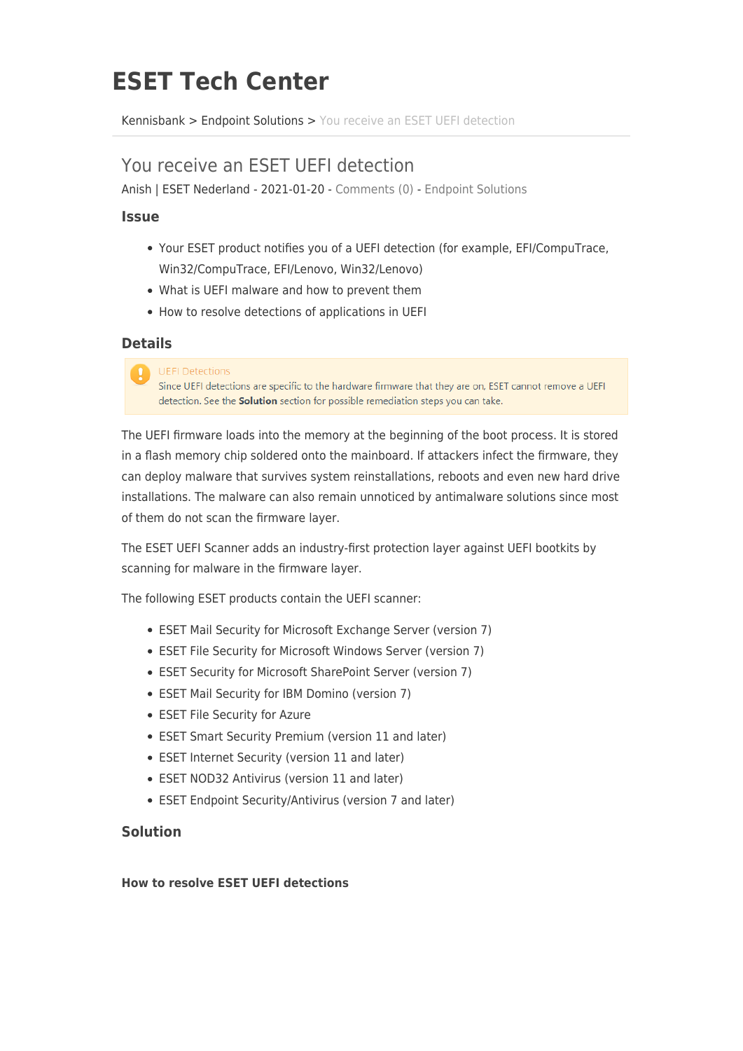# **ESET Tech Center**

[Kennisbank](https://techcenter.eset.nl/nl/kb) > [Endpoint Solutions](https://techcenter.eset.nl/nl/kb/endpoint-solutions) > [You receive an ESET UEFI detection](https://techcenter.eset.nl/nl/kb/articles/you-receive-an-eset-uefi-detection)

# You receive an ESET UEFI detection

Anish | ESET Nederland - 2021-01-20 - [Comments \(0\)](#page--1-0) - [Endpoint Solutions](https://techcenter.eset.nl/nl/kb/endpoint-solutions)

# **Issue**

- Your ESET product notifies you of a UEFI detection (for example, EFI/CompuTrace, Win32/CompuTrace, EFI/Lenovo, Win32/Lenovo)
- What is UEFI malware and how to prevent them
- How to resolve detections of applications in UEFI

# **Details**

#### **UEFI Detections**

Since UEFI detections are specific to the hardware firmware that they are on, ESET cannot remove a UEFI detection. See the **Solution** section for possible remediation steps you can take.

The UEFI firmware loads into the memory at the beginning of the boot process. It is stored in a flash memory chip soldered onto the mainboard. If attackers infect the firmware, they can deploy malware that survives system reinstallations, reboots and even new hard drive installations. The malware can also remain unnoticed by antimalware solutions since most of them do not scan the firmware layer.

The ESET UEFI Scanner adds an industry-first protection layer against UEFI bootkits by scanning for malware in the firmware layer.

The following ESET products contain the UEFI scanner:

- ESET Mail Security for Microsoft Exchange Server (version 7)
- ESET File Security for Microsoft Windows Server (version 7)
- ESET Security for Microsoft SharePoint Server (version 7)
- ESET Mail Security for IBM Domino (version 7)
- ESET File Security for Azure
- ESET Smart Security Premium (version 11 and later)
- ESET Internet Security (version 11 and later)
- ESET NOD32 Antivirus (version 11 and later)
- ESET Endpoint Security/Antivirus (version 7 and later)

# **Solution**

## **How to resolve ESET UEFI detections**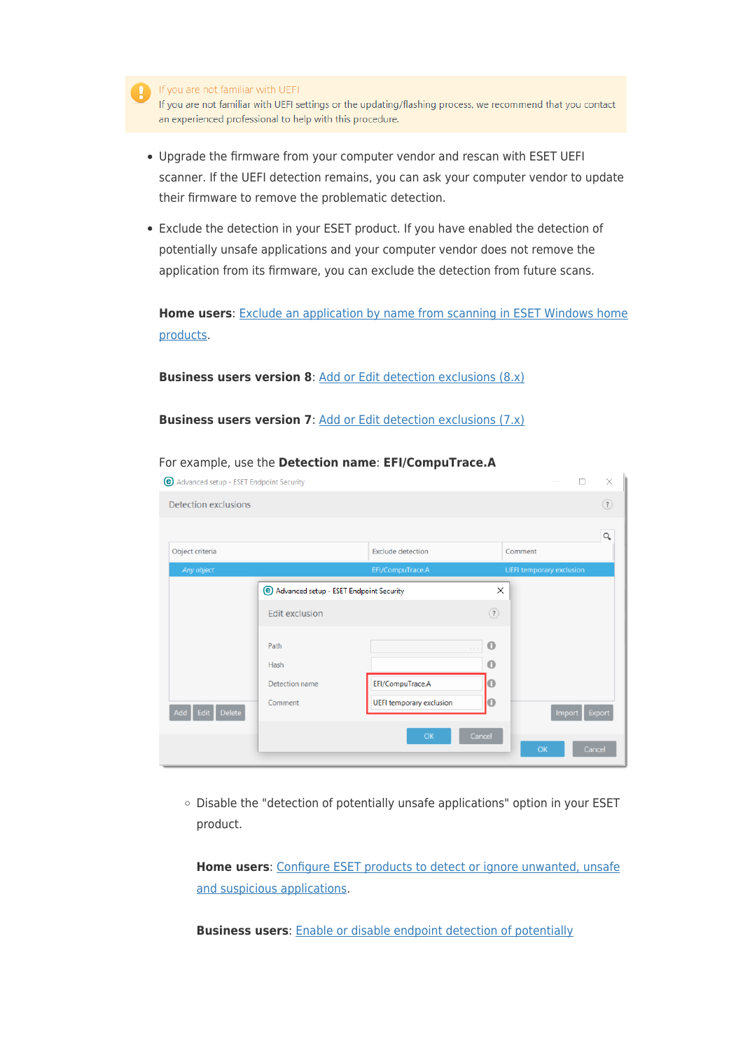

If you are not familiar with UEFI settings or the updating/flashing process, we recommend that you contact an experienced professional to help with this procedure.

- Upgrade the firmware from your computer vendor and rescan with ESET UEFI scanner. If the UEFI detection remains, you can ask your computer vendor to update their firmware to remove the problematic detection.
- Exclude the detection in your ESET product. If you have enabled the detection of potentially unsafe applications and your computer vendor does not remove the application from its firmware, you can exclude the detection from future scans.

**Home users**: [Exclude an application by name from scanning in ESET Windows home](https://support.eset.com/en/kb6519-exclude-an-application-by-name-from-scanning-in-eset-windows-home-products) [products](https://support.eset.com/en/kb6519-exclude-an-application-by-name-from-scanning-in-eset-windows-home-products).

**Business users version 8:** [Add or Edit detection exclusions \(8.x\)](https://help.eset.com/ees/8/en-US/idh_detection_exclusion.html)

**Business users version 7:** [Add or Edit detection exclusions \(7.x\)](https://help.eset.com/ees/7/en-US/idh_detection_exclusion.html)

| <b>Detection exclusions</b> |                                                                                  |                                                                                          |                                 | $\circled{?}$<br>Q |
|-----------------------------|----------------------------------------------------------------------------------|------------------------------------------------------------------------------------------|---------------------------------|--------------------|
| Object criteria             |                                                                                  | <b>Exclude detection</b>                                                                 | Comment                         |                    |
| Any object                  |                                                                                  | EFI/CompuTrace.A                                                                         | <b>UEFI temporary exclusion</b> |                    |
|                             | <sup>(</sup> e) Advanced setup - ESET Endpoint Security<br><b>Edit exclusion</b> |                                                                                          | $\times$<br>$\circled{?}$       |                    |
|                             | Path<br>Hash                                                                     | $\label{eq:1.1} \begin{array}{cccccccccc} \alpha & \alpha & \alpha & \alpha \end{array}$ | $\bf{0}$<br>$\bf{0}$            |                    |
|                             | Detection name                                                                   | EFI/CompuTrace.A                                                                         | റ                               |                    |
| Add Edit Delete             | Comment                                                                          | <b>UEFI temporary exclusion</b>                                                          | $\bullet$<br>Import             | Export             |
|                             |                                                                                  | OK                                                                                       | Cancel<br>OK                    | Cancel             |

For example, use the **Detection name**: **EFI/CompuTrace.A**

o Disable the "detection of potentially unsafe applications" option in your ESET product.

**Home users**: [Configure ESET products to detect or ignore unwanted, unsafe](https://support.eset.com/en/kb3204-configure-eset-products-to-detect-or-ignore-unwanted-unsafe-and-suspicious-applications) [and suspicious applications.](https://support.eset.com/en/kb3204-configure-eset-products-to-detect-or-ignore-unwanted-unsafe-and-suspicious-applications)

**Business users**: [Enable or disable endpoint detection of potentially](https://support.eset.com/en/kb6795-enable-or-disable-endpoint-detection-of-potentially-unwantedunsafe-applications-using-eset-security-management-center-7x)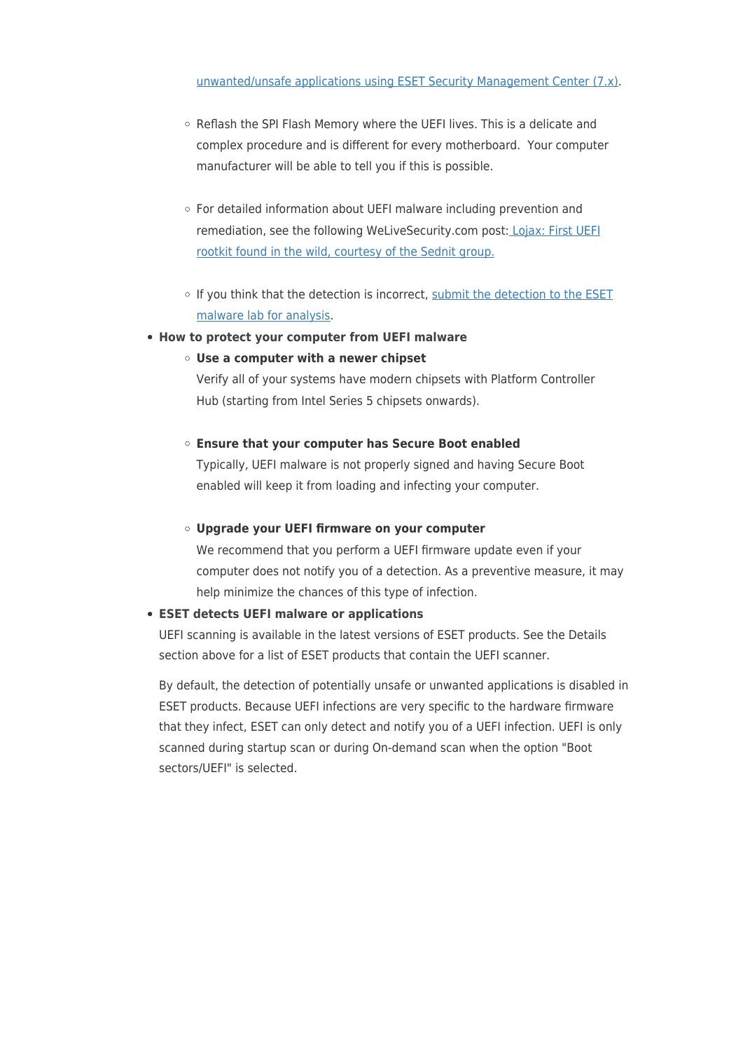- o Reflash the SPI Flash Memory where the UEFI lives. This is a delicate and complex procedure and is different for every motherboard. Your computer manufacturer will be able to tell you if this is possible.
- For detailed information about UEFI malware including prevention and remediation, see the following WeLiveSecurity.com post: [Lojax: First UEFI](https://www.welivesecurity.com/2018/09/27/lojax-first-uefi-rootkit-found-wild-courtesy-sednit-group/) [rootkit found in the wild, courtesy of the Sednit group.](https://www.welivesecurity.com/2018/09/27/lojax-first-uefi-rootkit-found-wild-courtesy-sednit-group/)
- $\circ$  If you think that the detection is incorrect, [submit the detection to the ESET](https://support.eset.com/en/kb141-submit-a-virus-website-or-potential-false-positive-sample-to-the-eset-lab) [malware lab for analysis.](https://support.eset.com/en/kb141-submit-a-virus-website-or-potential-false-positive-sample-to-the-eset-lab)
- **How to protect your computer from UEFI malware**
	- **Use a computer with a newer chipset**

Verify all of your systems have modern chipsets with Platform Controller Hub (starting from Intel Series 5 chipsets onwards).

#### **Ensure that your computer has Secure Boot enabled**

Typically, UEFI malware is not properly signed and having Secure Boot enabled will keep it from loading and infecting your computer.

#### **Upgrade your UEFI firmware on your computer**

We recommend that you perform a UEFI firmware update even if your computer does not notify you of a detection. As a preventive measure, it may help minimize the chances of this type of infection.

## **ESET detects UEFI malware or applications**

UEFI scanning is available in the latest versions of ESET products. See the Details section above for a list of ESET products that contain the UEFI scanner.

By default, the detection of potentially unsafe or unwanted applications is disabled in ESET products. Because UEFI infections are very specific to the hardware firmware that they infect, ESET can only detect and notify you of a UEFI infection. UEFI is only scanned during startup scan or during On-demand scan when the option "Boot sectors/UEFI" is selected.